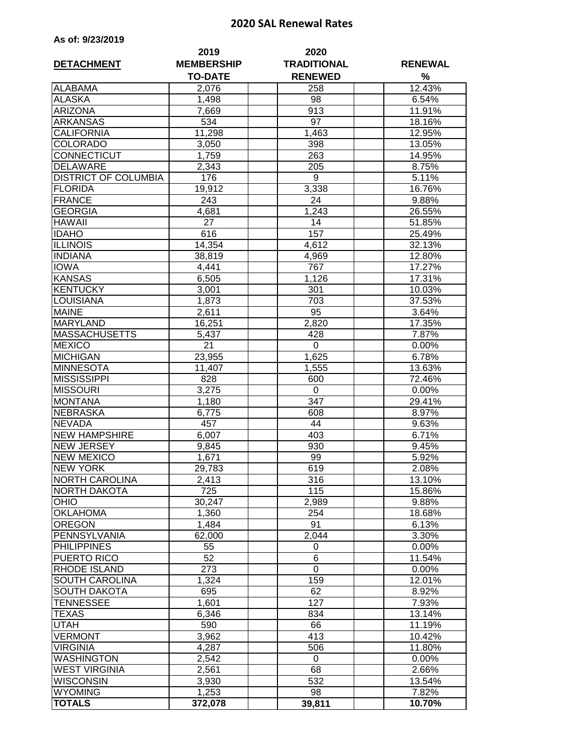## **2020 SAL Renewal Rates**

|  |  | As of: 9/23/2019 |  |  |
|--|--|------------------|--|--|
|--|--|------------------|--|--|

| <b>DETACHMENT</b>           | 2019<br><b>MEMBERSHIP</b><br><b>TO-DATE</b> | 2020<br><b>TRADITIONAL</b><br><b>RENEWED</b> | <b>RENEWAL</b><br>$\%$ |  |
|-----------------------------|---------------------------------------------|----------------------------------------------|------------------------|--|
| <b>ALABAMA</b>              | 2,076                                       | 258                                          | 12.43%                 |  |
| <b>ALASKA</b>               | 1,498                                       | 98                                           | 6.54%                  |  |
| <b>ARIZONA</b>              | 7,669                                       | 913                                          | 11.91%                 |  |
| <b>ARKANSAS</b>             | 534                                         | 97                                           | 18.16%                 |  |
| <b>CALIFORNIA</b>           | 11,298                                      | 1,463                                        | 12.95%                 |  |
| <b>COLORADO</b>             | 3,050                                       | 398                                          | 13.05%                 |  |
| <b>CONNECTICUT</b>          | 1,759                                       | 263                                          | 14.95%                 |  |
| <b>DELAWARE</b>             | 2,343                                       | 205                                          | 8.75%                  |  |
| <b>DISTRICT OF COLUMBIA</b> | 176                                         | 9                                            | 5.11%                  |  |
| <b>FLORIDA</b>              | 19,912                                      | 3,338                                        | 16.76%                 |  |
| <b>FRANCE</b>               | 243                                         | 24                                           | 9.88%                  |  |
| <b>GEORGIA</b>              | 4,681                                       | 1,243                                        | 26.55%                 |  |
| <b>HAWAII</b>               | 27                                          | 14                                           | 51.85%                 |  |
| <b>IDAHO</b>                | 616                                         | 157                                          | 25.49%                 |  |
| <b>ILLINOIS</b>             | 14,354                                      | 4,612                                        | 32.13%                 |  |
| <b>INDIANA</b>              | 38,819                                      | 4,969                                        | 12.80%                 |  |
| <b>IOWA</b>                 | 4,441                                       | 767                                          | 17.27%                 |  |
| <b>KANSAS</b>               | 6,505                                       | 1,126                                        | 17.31%                 |  |
| <b>KENTUCKY</b>             | 3,001                                       | 301                                          | 10.03%                 |  |
| LOUISIANA                   | 1,873                                       | 703                                          | 37.53%                 |  |
| <b>MAINE</b>                | 2,611                                       | 95                                           | 3.64%                  |  |
| <b>MARYLAND</b>             | 16,251                                      | 2,820                                        | 17.35%                 |  |
| <b>MASSACHUSETTS</b>        | 5,437                                       | 428                                          | 7.87%                  |  |
| <b>MEXICO</b>               | 21                                          | $\mathbf 0$                                  | $0.00\%$               |  |
| <b>MICHIGAN</b>             | 23,955                                      | 1,625                                        | 6.78%                  |  |
| <b>MINNESOTA</b>            | 11,407                                      | 1,555                                        | 13.63%                 |  |
| <b>MISSISSIPPI</b>          | 828                                         | 600                                          | 72.46%                 |  |
| <b>MISSOURI</b>             | 3,275                                       | $\Omega$                                     | 0.00%                  |  |
| <b>MONTANA</b>              | 1,180                                       | $\overline{347}$                             | 29.41%                 |  |
| <b>NEBRASKA</b>             | 6,775                                       | 608                                          | 8.97%                  |  |
| <b>NEVADA</b>               | 457                                         | 44                                           | 9.63%                  |  |
| <b>NEW HAMPSHIRE</b>        | 6,007                                       | 403                                          | 6.71%                  |  |
| <b>NEW JERSEY</b>           | 9,845                                       | 930                                          | 9.45%                  |  |
| <b>NEW MEXICO</b>           | 1,671                                       | 99                                           | 5.92%                  |  |
| <b>NEW YORK</b>             | 29,783                                      | 619                                          | 2.08%                  |  |
| <b>NORTH CAROLINA</b>       | 2,413                                       | 316                                          | 13.10%                 |  |
| <b>NORTH DAKOTA</b>         | 725                                         | 115                                          | 15.86%                 |  |
| <b>OHIO</b>                 | 30,247                                      | 2,989                                        | 9.88%                  |  |
| <b>OKLAHOMA</b>             | 1,360                                       | 254                                          | 18.68%                 |  |
| <b>OREGON</b>               | 1,484                                       | 91                                           | 6.13%                  |  |
| PENNSYLVANIA                | 62,000                                      | 2,044                                        | 3.30%                  |  |
| <b>PHILIPPINES</b>          | 55                                          | 0                                            | 0.00%                  |  |
| PUERTO RICO                 | 52                                          | 6                                            | 11.54%                 |  |
| <b>RHODE ISLAND</b>         | 273                                         | 0                                            | $0.00\%$               |  |
| <b>SOUTH CAROLINA</b>       | 1,324                                       | 159                                          | 12.01%                 |  |
| <b>SOUTH DAKOTA</b>         | 695                                         | 62                                           | 8.92%                  |  |
| <b>TENNESSEE</b>            | 1,601                                       | 127                                          | 7.93%                  |  |
| <b>TEXAS</b>                | 6,346                                       | 834                                          | 13.14%                 |  |
| <b>UTAH</b>                 | 590                                         | 66                                           | 11.19%                 |  |
| <b>VERMONT</b>              | 3,962                                       | 413                                          | 10.42%                 |  |
| <b>VIRGINIA</b>             | 4,287                                       | 506                                          | 11.80%                 |  |
| <b>WASHINGTON</b>           | 2,542                                       | 0                                            | 0.00%                  |  |
| <b>WEST VIRGINIA</b>        | 2,561                                       | 68                                           | 2.66%                  |  |
| <b>WISCONSIN</b>            | 3,930                                       | 532                                          | 13.54%                 |  |
| <b>WYOMING</b>              | 1,253                                       | 98                                           | 7.82%                  |  |
| <b>TOTALS</b>               | 372,078                                     | 39,811                                       | 10.70%                 |  |